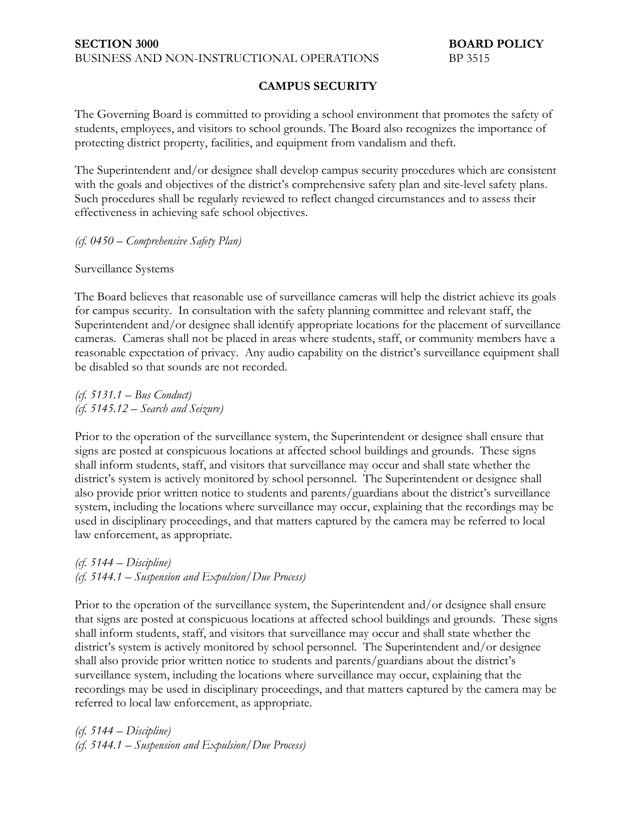## **CAMPUS SECURITY**

The Governing Board is committed to providing a school environment that promotes the safety of students, employees, and visitors to school grounds. The Board also recognizes the importance of protecting district property, facilities, and equipment from vandalism and theft.

The Superintendent and/or designee shall develop campus security procedures which are consistent with the goals and objectives of the district's comprehensive safety plan and site-level safety plans. Such procedures shall be regularly reviewed to reflect changed circumstances and to assess their effectiveness in achieving safe school objectives.

*(cf. 0450 – Comprehensive Safety Plan)*

Surveillance Systems

The Board believes that reasonable use of surveillance cameras will help the district achieve its goals for campus security. In consultation with the safety planning committee and relevant staff, the Superintendent and/or designee shall identify appropriate locations for the placement of surveillance cameras. Cameras shall not be placed in areas where students, staff, or community members have a reasonable expectation of privacy. Any audio capability on the district's surveillance equipment shall be disabled so that sounds are not recorded.

*(cf. 5131.1 – Bus Conduct) (cf. 5145.12 – Search and Seizure)*

Prior to the operation of the surveillance system, the Superintendent or designee shall ensure that signs are posted at conspicuous locations at affected school buildings and grounds. These signs shall inform students, staff, and visitors that surveillance may occur and shall state whether the district's system is actively monitored by school personnel. The Superintendent or designee shall also provide prior written notice to students and parents/guardians about the district's surveillance system, including the locations where surveillance may occur, explaining that the recordings may be used in disciplinary proceedings, and that matters captured by the camera may be referred to local law enforcement, as appropriate.

*(cf. 5144 – Discipline) (cf. 5144.1 – Suspension and Expulsion/Due Process)*

Prior to the operation of the surveillance system, the Superintendent and/or designee shall ensure that signs are posted at conspicuous locations at affected school buildings and grounds. These signs shall inform students, staff, and visitors that surveillance may occur and shall state whether the district's system is actively monitored by school personnel. The Superintendent and/or designee shall also provide prior written notice to students and parents/guardians about the district's surveillance system, including the locations where surveillance may occur, explaining that the recordings may be used in disciplinary proceedings, and that matters captured by the camera may be referred to local law enforcement, as appropriate.

*(cf. 5144 – Discipline) (cf. 5144.1 – Suspension and Expulsion/Due Process)*